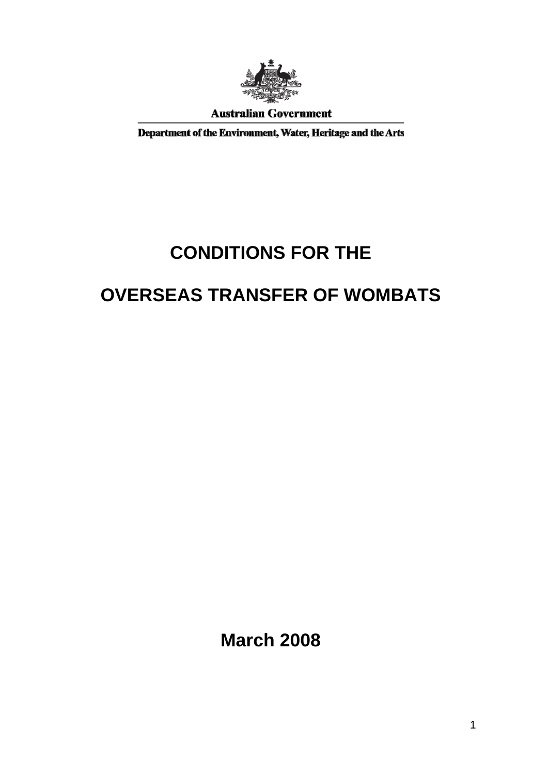

**Australian Government** 

Department of the Environment, Water, Heritage and the Arts

# **CONDITIONS FOR THE**

## **OVERSEAS TRANSFER OF WOMBATS**

**March 2008**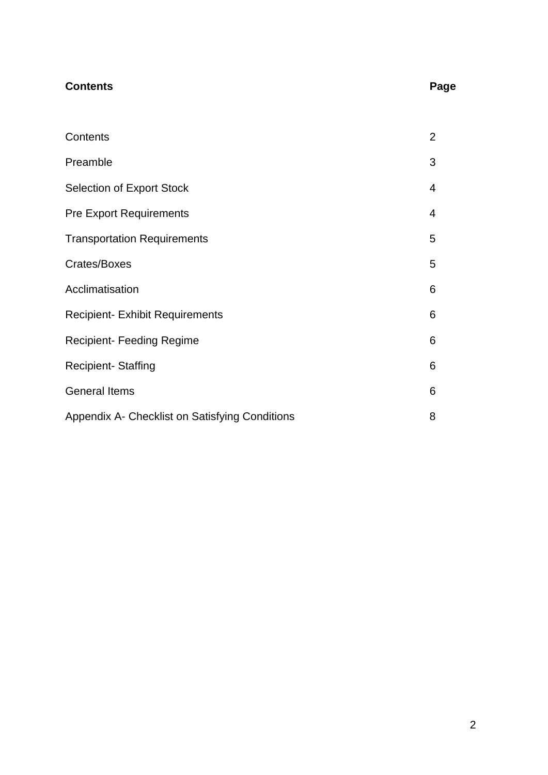| <b>Contents</b>                                | Page           |
|------------------------------------------------|----------------|
|                                                |                |
| Contents                                       | $\overline{2}$ |
| Preamble                                       | 3              |
| <b>Selection of Export Stock</b>               | 4              |
| <b>Pre Export Requirements</b>                 | 4              |
| <b>Transportation Requirements</b>             | 5              |
| Crates/Boxes                                   | 5              |
| Acclimatisation                                | 6              |
| <b>Recipient- Exhibit Requirements</b>         | 6              |
| <b>Recipient- Feeding Regime</b>               | 6              |
| <b>Recipient-Staffing</b>                      | 6              |
| <b>General Items</b>                           | 6              |
| Appendix A- Checklist on Satisfying Conditions | 8              |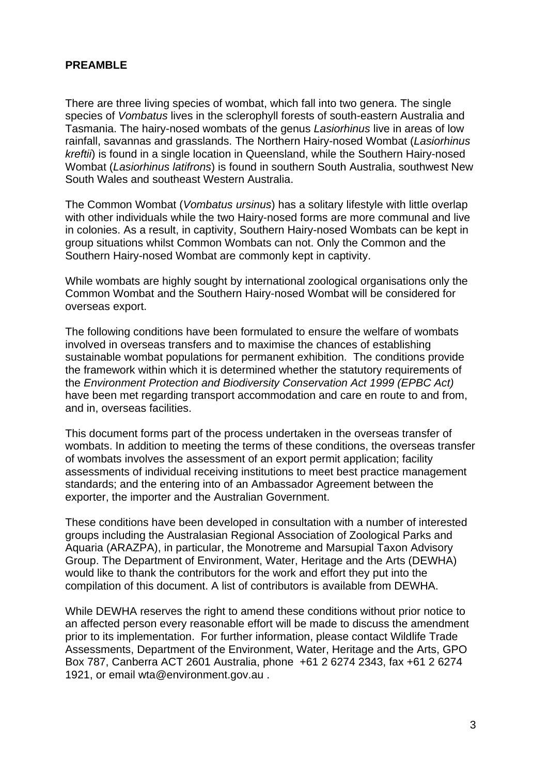#### **PREAMBLE**

There are three living species of wombat, which fall into two genera. The single species of *Vombatus* lives in the sclerophyll forests of south-eastern Australia and Tasmania. The hairy-nosed wombats of the genus *Lasiorhinus* live in areas of low rainfall, savannas and grasslands. The Northern Hairy-nosed Wombat (*Lasiorhinus kreftii*) is found in a single location in Queensland, while the Southern Hairy-nosed Wombat (*Lasiorhinus latifrons*) is found in southern South Australia, southwest New South Wales and southeast Western Australia.

The Common Wombat (*Vombatus ursinus*) has a solitary lifestyle with little overlap with other individuals while the two Hairy-nosed forms are more communal and live in colonies. As a result, in captivity, Southern Hairy-nosed Wombats can be kept in group situations whilst Common Wombats can not. Only the Common and the Southern Hairy-nosed Wombat are commonly kept in captivity.

While wombats are highly sought by international zoological organisations only the Common Wombat and the Southern Hairy-nosed Wombat will be considered for overseas export.

The following conditions have been formulated to ensure the welfare of wombats involved in overseas transfers and to maximise the chances of establishing sustainable wombat populations for permanent exhibition. The conditions provide the framework within which it is determined whether the statutory requirements of the *Environment Protection and Biodiversity Conservation Act 1999 (EPBC Act)* have been met regarding transport accommodation and care en route to and from, and in, overseas facilities.

This document forms part of the process undertaken in the overseas transfer of wombats. In addition to meeting the terms of these conditions, the overseas transfer of wombats involves the assessment of an export permit application; facility assessments of individual receiving institutions to meet best practice management standards; and the entering into of an Ambassador Agreement between the exporter, the importer and the Australian Government.

These conditions have been developed in consultation with a number of interested groups including the Australasian Regional Association of Zoological Parks and Aquaria (ARAZPA), in particular, the Monotreme and Marsupial Taxon Advisory Group. The Department of Environment, Water, Heritage and the Arts (DEWHA) would like to thank the contributors for the work and effort they put into the compilation of this document. A list of contributors is available from DEWHA.

While DEWHA reserves the right to amend these conditions without prior notice to an affected person every reasonable effort will be made to discuss the amendment prior to its implementation. For further information, please contact Wildlife Trade Assessments, Department of the Environment, Water, Heritage and the Arts, GPO Box 787, Canberra ACT 2601 Australia, phone +61 2 6274 2343, fax +61 2 6274 1921, or email wta@environment.gov.au .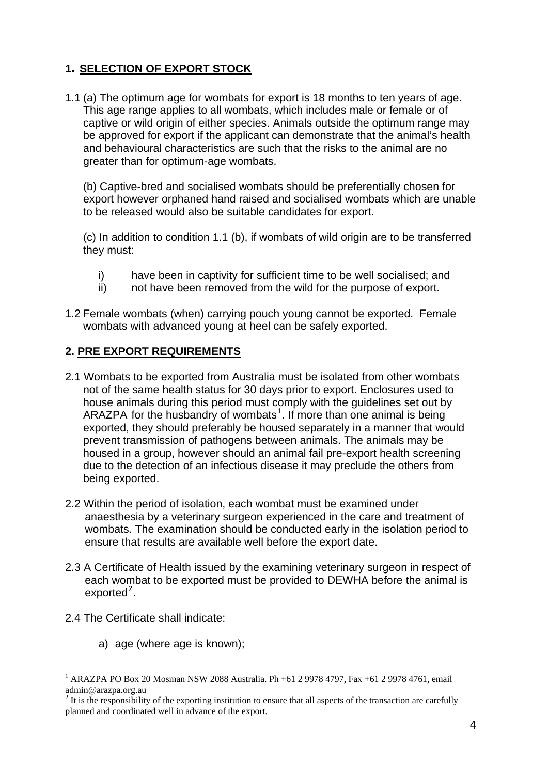### **1. SELECTION OF EXPORT STOCK**

1.1 (a) The optimum age for wombats for export is 18 months to ten years of age. This age range applies to all wombats, which includes male or female or of captive or wild origin of either species. Animals outside the optimum range may be approved for export if the applicant can demonstrate that the animal's health and behavioural characteristics are such that the risks to the animal are no greater than for optimum-age wombats.

(b) Captive-bred and socialised wombats should be preferentially chosen for export however orphaned hand raised and socialised wombats which are unable to be released would also be suitable candidates for export.

(c) In addition to condition 1.1 (b), if wombats of wild origin are to be transferred they must:

- i) have been in captivity for sufficient time to be well socialised; and
- ii) not have been removed from the wild for the purpose of export.
- 1.2 Female wombats (when) carrying pouch young cannot be exported. Female wombats with advanced young at heel can be safely exported.

### **2. PRE EXPORT REQUIREMENTS**

- 2.1 Wombats to be exported from Australia must be isolated from other wombats not of the same health status for 30 days prior to export. Enclosures used to house animals during this period must comply with the guidelines set out by ARAZPA for the husbandry of wombats<sup>[1](#page-3-0)</sup>. If more than one animal is being exported, they should preferably be housed separately in a manner that would prevent transmission of pathogens between animals. The animals may be housed in a group, however should an animal fail pre-export health screening due to the detection of an infectious disease it may preclude the others from being exported.
- 2.2 Within the period of isolation, each wombat must be examined under anaesthesia by a veterinary surgeon experienced in the care and treatment of wombats. The examination should be conducted early in the isolation period to ensure that results are available well before the export date.
- 2.3 A Certificate of Health issued by the examining veterinary surgeon in respect of each wombat to be exported must be provided to DEWHA before the animal is exported<sup>[2](#page-3-1)</sup>.
- 2.4 The Certificate shall indicate:

1

a) age (where age is known);

<span id="page-3-0"></span><sup>1</sup> ARAZPA PO Box 20 Mosman NSW 2088 Australia. Ph +61 2 9978 4797, Fax +61 2 9978 4761, email admin@arazpa.org.au

<span id="page-3-1"></span> $2<sup>2</sup>$  It is the responsibility of the exporting institution to ensure that all aspects of the transaction are carefully planned and coordinated well in advance of the export.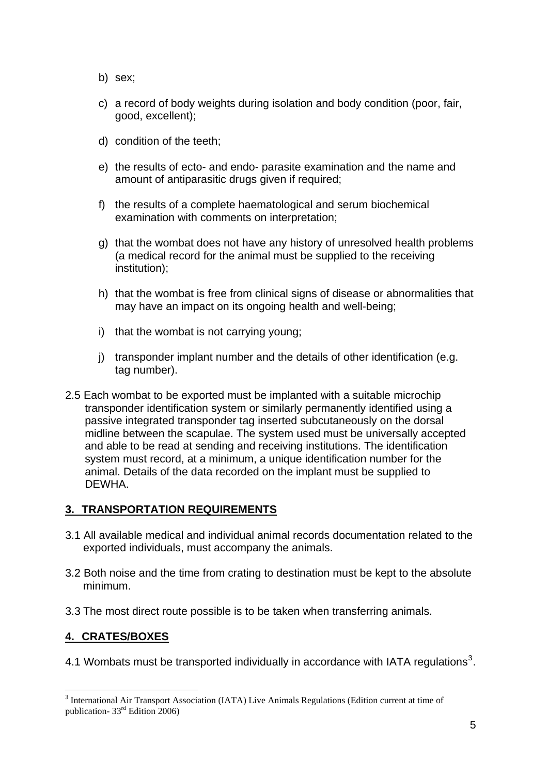- b) sex;
- c) a record of body weights during isolation and body condition (poor, fair, good, excellent);
- d) condition of the teeth;
- e) the results of ecto- and endo- parasite examination and the name and amount of antiparasitic drugs given if required;
- f) the results of a complete haematological and serum biochemical examination with comments on interpretation;
- g) that the wombat does not have any history of unresolved health problems (a medical record for the animal must be supplied to the receiving institution);
- h) that the wombat is free from clinical signs of disease or abnormalities that may have an impact on its ongoing health and well-being;
- i) that the wombat is not carrying young;
- j) transponder implant number and the details of other identification (e.g. tag number).
- 2.5 Each wombat to be exported must be implanted with a suitable microchip transponder identification system or similarly permanently identified using a passive integrated transponder tag inserted subcutaneously on the dorsal midline between the scapulae. The system used must be universally accepted and able to be read at sending and receiving institutions. The identification system must record, at a minimum, a unique identification number for the animal. Details of the data recorded on the implant must be supplied to DEWHA.

### **3. TRANSPORTATION REQUIREMENTS**

- 3.1 All available medical and individual animal records documentation related to the exported individuals, must accompany the animals.
- 3.2 Both noise and the time from crating to destination must be kept to the absolute minimum.
- 3.3 The most direct route possible is to be taken when transferring animals.

### **4. CRATES/BOXES**

<u>.</u>

4.1 Wombats must be transported individually in accordance with IATA regulations<sup>[3](#page-4-0)</sup>.

<span id="page-4-0"></span><sup>&</sup>lt;sup>3</sup> International Air Transport Association (IATA) Live Animals Regulations (Edition current at time of publication- 33rd Edition 2006)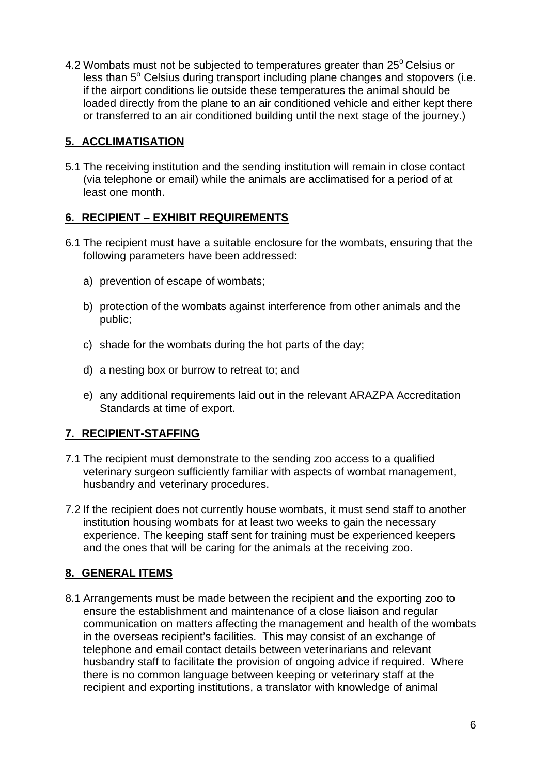4.2 Wombats must not be subjected to temperatures greater than  $25^{\circ}$  Celsius or less than  $5^\circ$  Celsius during transport including plane changes and stopovers (i.e. if the airport conditions lie outside these temperatures the animal should be loaded directly from the plane to an air conditioned vehicle and either kept there or transferred to an air conditioned building until the next stage of the journey.)

### **5. ACCLIMATISATION**

5.1 The receiving institution and the sending institution will remain in close contact (via telephone or email) while the animals are acclimatised for a period of at least one month.

### **6. RECIPIENT – EXHIBIT REQUIREMENTS**

- 6.1 The recipient must have a suitable enclosure for the wombats, ensuring that the following parameters have been addressed:
	- a) prevention of escape of wombats;
	- b) protection of the wombats against interference from other animals and the public;
	- c) shade for the wombats during the hot parts of the day;
	- d) a nesting box or burrow to retreat to; and
	- e) any additional requirements laid out in the relevant ARAZPA Accreditation Standards at time of export.

### **7. RECIPIENT-STAFFING**

- 7.1 The recipient must demonstrate to the sending zoo access to a qualified veterinary surgeon sufficiently familiar with aspects of wombat management, husbandry and veterinary procedures.
- 7.2 If the recipient does not currently house wombats, it must send staff to another institution housing wombats for at least two weeks to gain the necessary experience. The keeping staff sent for training must be experienced keepers and the ones that will be caring for the animals at the receiving zoo.

### **8. GENERAL ITEMS**

8.1 Arrangements must be made between the recipient and the exporting zoo to ensure the establishment and maintenance of a close liaison and regular communication on matters affecting the management and health of the wombats in the overseas recipient's facilities. This may consist of an exchange of telephone and email contact details between veterinarians and relevant husbandry staff to facilitate the provision of ongoing advice if required. Where there is no common language between keeping or veterinary staff at the recipient and exporting institutions, a translator with knowledge of animal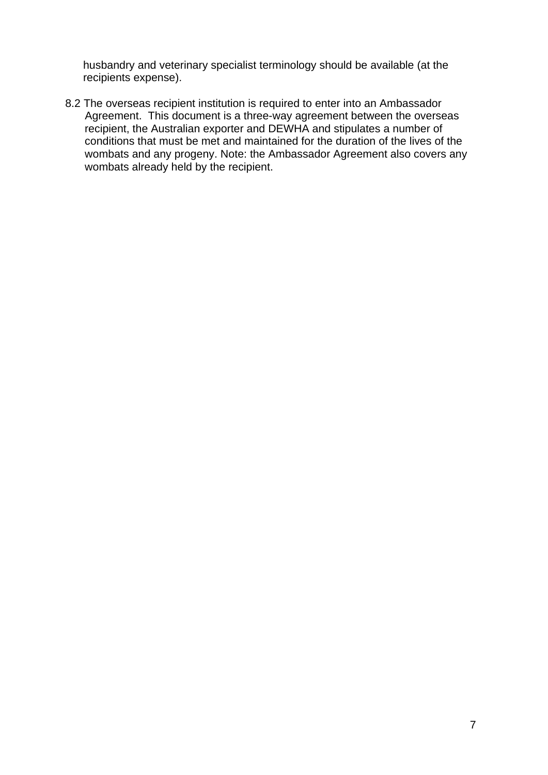husbandry and veterinary specialist terminology should be available (at the recipients expense).

8.2 The overseas recipient institution is required to enter into an Ambassador Agreement. This document is a three-way agreement between the overseas recipient, the Australian exporter and DEWHA and stipulates a number of conditions that must be met and maintained for the duration of the lives of the wombats and any progeny. Note: the Ambassador Agreement also covers any wombats already held by the recipient.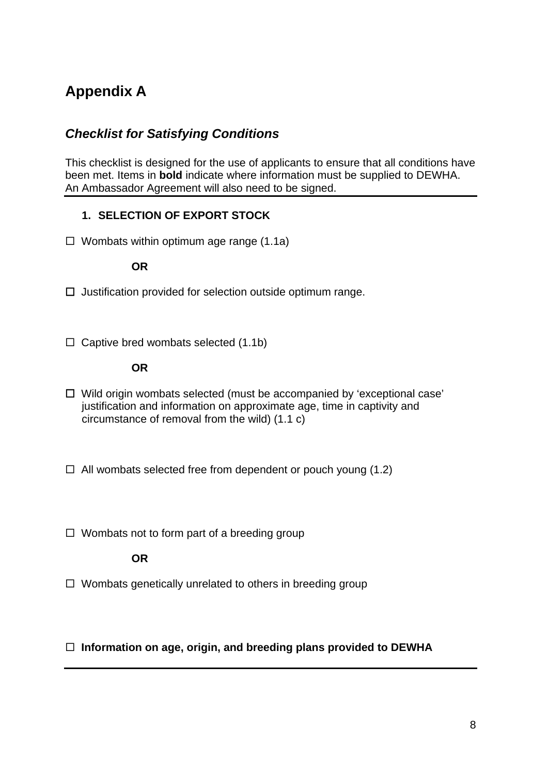## **Appendix A**

### *Checklist for Satisfying Conditions*

This checklist is designed for the use of applicants to ensure that all conditions have been met. Items in **bold** indicate where information must be supplied to DEWHA. An Ambassador Agreement will also need to be signed.

### **1. SELECTION OF EXPORT STOCK**

 $\Box$  Wombats within optimum age range (1.1a)

### **OR**

- □ Justification provided for selection outside optimum range.
- $\Box$  Captive bred wombats selected (1.1b)

### **OR**

- □ Wild origin wombats selected (must be accompanied by 'exceptional case' justification and information on approximate age, time in captivity and circumstance of removal from the wild) (1.1 c)
- $\Box$  All wombats selected free from dependent or pouch young (1.2)
- $\Box$  Wombats not to form part of a breeding group

### **OR**

 $\Box$  Wombats genetically unrelated to others in breeding group

### **Information on age, origin, and breeding plans provided to DEWHA**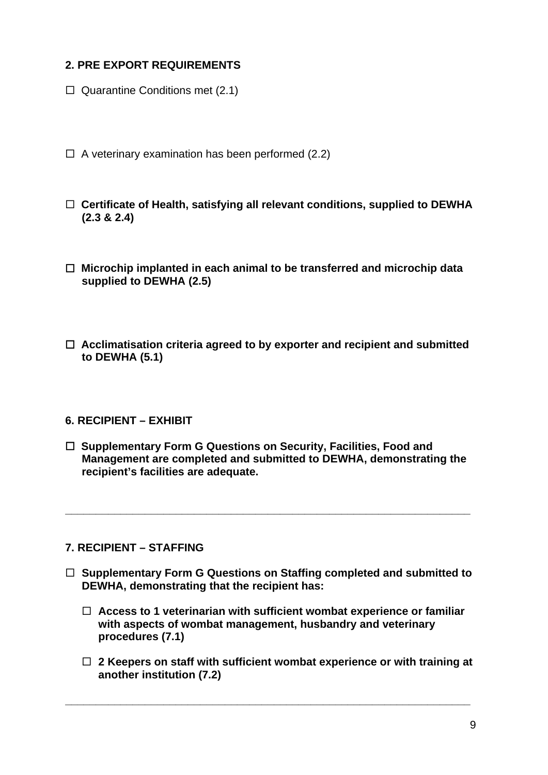### **2. PRE EXPORT REQUIREMENTS**

- $\Box$  Quarantine Conditions met (2.1)
- $\Box$  A veterinary examination has been performed (2.2)
- **Certificate of Health, satisfying all relevant conditions, supplied to DEWHA (2.3 & 2.4)**
- **Microchip implanted in each animal to be transferred and microchip data supplied to DEWHA (2.5)**
- **Acclimatisation criteria agreed to by exporter and recipient and submitted to DEWHA (5.1)**

### **6. RECIPIENT – EXHIBIT**

 **Supplementary Form G Questions on Security, Facilities, Food and Management are completed and submitted to DEWHA, demonstrating the recipient's facilities are adequate.** 

**\_\_\_\_\_\_\_\_\_\_\_\_\_\_\_\_\_\_\_\_\_\_\_\_\_\_\_\_\_\_\_\_\_\_\_\_\_\_\_\_\_\_\_\_\_\_\_\_\_\_\_\_\_\_\_\_\_\_\_\_\_\_\_\_\_\_** 

#### **7. RECIPIENT – STAFFING**

- **Supplementary Form G Questions on Staffing completed and submitted to DEWHA, demonstrating that the recipient has:** 
	- **Access to 1 veterinarian with sufficient wombat experience or familiar with aspects of wombat management, husbandry and veterinary procedures (7.1)**
	- **2 Keepers on staff with sufficient wombat experience or with training at another institution (7.2)**

**\_\_\_\_\_\_\_\_\_\_\_\_\_\_\_\_\_\_\_\_\_\_\_\_\_\_\_\_\_\_\_\_\_\_\_\_\_\_\_\_\_\_\_\_\_\_\_\_\_\_\_\_\_\_\_\_\_\_\_\_\_\_\_\_\_\_**